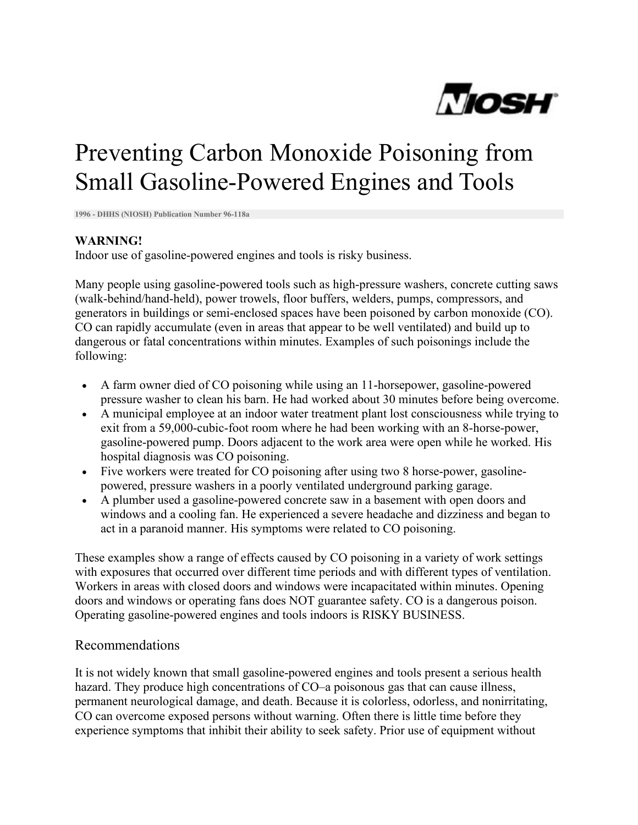

## Preventing Carbon Monoxide Poisoning from Small Gasoline-Powered Engines and Tools

**1996 - DHHS (NIOSH) Publication Number 96-118a**

## **WARNING!**

Indoor use of gasoline-powered engines and tools is risky business.

Many people using gasoline-powered tools such as high-pressure washers, concrete cutting saws (walk-behind/hand-held), power trowels, floor buffers, welders, pumps, compressors, and generators in buildings or semi-enclosed spaces have been poisoned by carbon monoxide (CO). CO can rapidly accumulate (even in areas that appear to be well ventilated) and build up to dangerous or fatal concentrations within minutes. Examples of such poisonings include the following:

- A farm owner died of CO poisoning while using an 11-horsepower, gasoline-powered pressure washer to clean his barn. He had worked about 30 minutes before being overcome.
- A municipal employee at an indoor water treatment plant lost consciousness while trying to exit from a 59,000-cubic-foot room where he had been working with an 8-horse-power, gasoline-powered pump. Doors adjacent to the work area were open while he worked. His hospital diagnosis was CO poisoning.
- Five workers were treated for CO poisoning after using two 8 horse-power, gasolinepowered, pressure washers in a poorly ventilated underground parking garage.
- A plumber used a gasoline-powered concrete saw in a basement with open doors and windows and a cooling fan. He experienced a severe headache and dizziness and began to act in a paranoid manner. His symptoms were related to CO poisoning.

These examples show a range of effects caused by CO poisoning in a variety of work settings with exposures that occurred over different time periods and with different types of ventilation. Workers in areas with closed doors and windows were incapacitated within minutes. Opening doors and windows or operating fans does NOT guarantee safety. CO is a dangerous poison. Operating gasoline-powered engines and tools indoors is RISKY BUSINESS.

## Recommendations

It is not widely known that small gasoline-powered engines and tools present a serious health hazard. They produce high concentrations of CO–a poisonous gas that can cause illness, permanent neurological damage, and death. Because it is colorless, odorless, and nonirritating, CO can overcome exposed persons without warning. Often there is little time before they experience symptoms that inhibit their ability to seek safety. Prior use of equipment without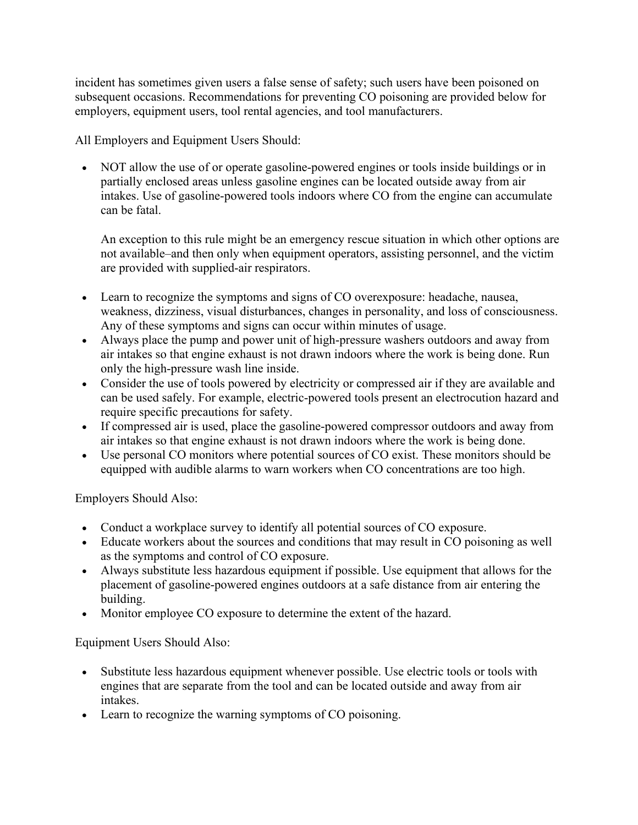incident has sometimes given users a false sense of safety; such users have been poisoned on subsequent occasions. Recommendations for preventing CO poisoning are provided below for employers, equipment users, tool rental agencies, and tool manufacturers.

All Employers and Equipment Users Should:

• NOT allow the use of or operate gasoline-powered engines or tools inside buildings or in partially enclosed areas unless gasoline engines can be located outside away from air intakes. Use of gasoline-powered tools indoors where CO from the engine can accumulate can be fatal.

An exception to this rule might be an emergency rescue situation in which other options are not available–and then only when equipment operators, assisting personnel, and the victim are provided with supplied-air respirators.

- Learn to recognize the symptoms and signs of CO overexposure: headache, nausea, weakness, dizziness, visual disturbances, changes in personality, and loss of consciousness. Any of these symptoms and signs can occur within minutes of usage.
- Always place the pump and power unit of high-pressure washers outdoors and away from air intakes so that engine exhaust is not drawn indoors where the work is being done. Run only the high-pressure wash line inside.
- Consider the use of tools powered by electricity or compressed air if they are available and can be used safely. For example, electric-powered tools present an electrocution hazard and require specific precautions for safety.
- If compressed air is used, place the gasoline-powered compressor outdoors and away from air intakes so that engine exhaust is not drawn indoors where the work is being done.
- Use personal CO monitors where potential sources of CO exist. These monitors should be equipped with audible alarms to warn workers when CO concentrations are too high.

Employers Should Also:

- Conduct a workplace survey to identify all potential sources of CO exposure.
- Educate workers about the sources and conditions that may result in CO poisoning as well as the symptoms and control of CO exposure.
- Always substitute less hazardous equipment if possible. Use equipment that allows for the placement of gasoline-powered engines outdoors at a safe distance from air entering the building.
- Monitor employee CO exposure to determine the extent of the hazard.

Equipment Users Should Also:

- Substitute less hazardous equipment whenever possible. Use electric tools or tools with engines that are separate from the tool and can be located outside and away from air intakes.
- Learn to recognize the warning symptoms of CO poisoning.